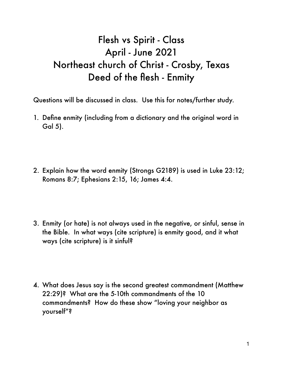## Flesh vs Spirit - Class April - June 2021 Northeast church of Christ - Crosby, Texas Deed of the flesh - Enmity

Questions will be discussed in class. Use this for notes/further study.

- 1. Define enmity (including from a dictionary and the original word in Gal 5).
- 2. Explain how the word enmity (Strongs G2189) is used in Luke 23:12; Romans 8:7; Ephesians 2:15, 16; James 4:4.
- 3. Enmity (or hate) is not always used in the negative, or sinful, sense in the Bible. In what ways (cite scripture) is enmity good, and it what ways (cite scripture) is it sinful?
- 4. What does Jesus say is the second greatest commandment (Matthew 22:29)? What are the 5-10th commandments of the 10 commandments? How do these show "loving your neighbor as yourself"?